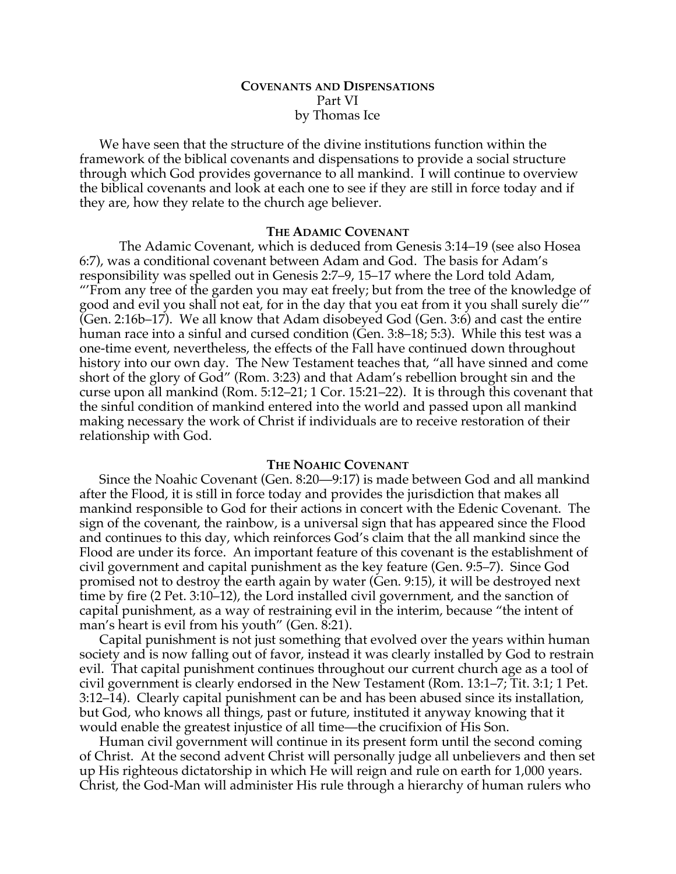# **COVENANTS AND DISPENSATIONS** Part VI by Thomas Ice

We have seen that the structure of the divine institutions function within the framework of the biblical covenants and dispensations to provide a social structure through which God provides governance to all mankind. I will continue to overview the biblical covenants and look at each one to see if they are still in force today and if they are, how they relate to the church age believer.

# **THE ADAMIC COVENANT**

The Adamic Covenant, which is deduced from Genesis 3:14–19 (see also Hosea 6:7), was a conditional covenant between Adam and God. The basis for Adam's responsibility was spelled out in Genesis 2:7–9, 15–17 where the Lord told Adam, "'From any tree of the garden you may eat freely; but from the tree of the knowledge of good and evil you shall not eat, for in the day that you eat from it you shall surely die'" (Gen. 2:16b–17). We all know that Adam disobeyed God (Gen. 3:6) and cast the entire human race into a sinful and cursed condition (Gen. 3:8–18; 5:3). While this test was a one-time event, nevertheless, the effects of the Fall have continued down throughout history into our own day. The New Testament teaches that, "all have sinned and come short of the glory of God" (Rom. 3:23) and that Adam's rebellion brought sin and the curse upon all mankind (Rom. 5:12–21; 1 Cor. 15:21–22). It is through this covenant that the sinful condition of mankind entered into the world and passed upon all mankind making necessary the work of Christ if individuals are to receive restoration of their relationship with God.

#### **THE NOAHIC COVENANT**

Since the Noahic Covenant (Gen. 8:20—9:17) is made between God and all mankind after the Flood, it is still in force today and provides the jurisdiction that makes all mankind responsible to God for their actions in concert with the Edenic Covenant. The sign of the covenant, the rainbow, is a universal sign that has appeared since the Flood and continues to this day, which reinforces God's claim that the all mankind since the Flood are under its force. An important feature of this covenant is the establishment of civil government and capital punishment as the key feature (Gen. 9:5–7). Since God promised not to destroy the earth again by water (Gen. 9:15), it will be destroyed next time by fire (2 Pet. 3:10–12), the Lord installed civil government, and the sanction of capital punishment, as a way of restraining evil in the interim, because "the intent of man's heart is evil from his youth" (Gen. 8:21).

Capital punishment is not just something that evolved over the years within human society and is now falling out of favor, instead it was clearly installed by God to restrain evil. That capital punishment continues throughout our current church age as a tool of civil government is clearly endorsed in the New Testament (Rom. 13:1–7; Tit. 3:1; 1 Pet. 3:12–14). Clearly capital punishment can be and has been abused since its installation, but God, who knows all things, past or future, instituted it anyway knowing that it would enable the greatest injustice of all time—the crucifixion of His Son.

Human civil government will continue in its present form until the second coming of Christ. At the second advent Christ will personally judge all unbelievers and then set up His righteous dictatorship in which He will reign and rule on earth for 1,000 years. Christ, the God-Man will administer His rule through a hierarchy of human rulers who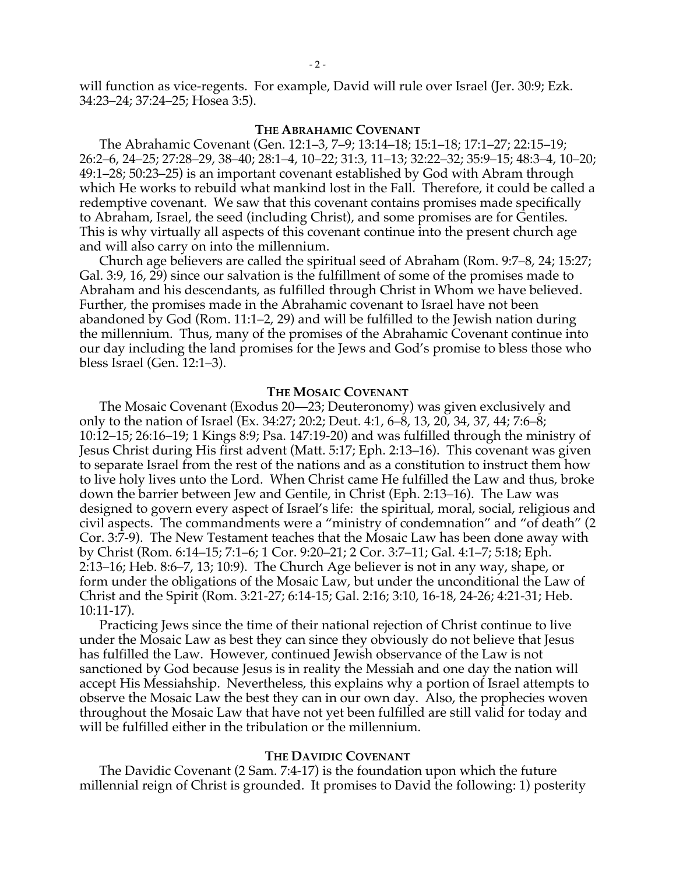will function as vice-regents. For example, David will rule over Israel (Jer. 30:9; Ezk. 34:23–24; 37:24–25; Hosea 3:5).

### **THE ABRAHAMIC COVENANT**

The Abrahamic Covenant (Gen. 12:1–3, 7–9; 13:14–18; 15:1–18; 17:1–27; 22:15–19; 26:2–6, 24–25; 27:28–29, 38–40; 28:1–4, 10–22; 31:3, 11–13; 32:22–32; 35:9–15; 48:3–4, 10–20; 49:1–28; 50:23–25) is an important covenant established by God with Abram through which He works to rebuild what mankind lost in the Fall. Therefore, it could be called a redemptive covenant. We saw that this covenant contains promises made specifically to Abraham, Israel, the seed (including Christ), and some promises are for Gentiles. This is why virtually all aspects of this covenant continue into the present church age and will also carry on into the millennium.

Church age believers are called the spiritual seed of Abraham (Rom. 9:7–8, 24; 15:27; Gal. 3:9, 16, 29) since our salvation is the fulfillment of some of the promises made to Abraham and his descendants, as fulfilled through Christ in Whom we have believed. Further, the promises made in the Abrahamic covenant to Israel have not been abandoned by God (Rom. 11:1–2, 29) and will be fulfilled to the Jewish nation during the millennium. Thus, many of the promises of the Abrahamic Covenant continue into our day including the land promises for the Jews and God's promise to bless those who bless Israel (Gen. 12:1–3).

#### **THE MOSAIC COVENANT**

The Mosaic Covenant (Exodus 20—23; Deuteronomy) was given exclusively and only to the nation of Israel (Ex. 34:27; 20:2; Deut. 4:1, 6–8, 13, 20, 34, 37, 44; 7:6–8; 10:12–15; 26:16–19; 1 Kings 8:9; Psa. 147:19-20) and was fulfilled through the ministry of Jesus Christ during His first advent (Matt. 5:17; Eph. 2:13–16). This covenant was given to separate Israel from the rest of the nations and as a constitution to instruct them how to live holy lives unto the Lord. When Christ came He fulfilled the Law and thus, broke down the barrier between Jew and Gentile, in Christ (Eph. 2:13–16). The Law was designed to govern every aspect of Israel's life: the spiritual, moral, social, religious and civil aspects. The commandments were a "ministry of condemnation" and "of death" (2 Cor. 3:7-9). The New Testament teaches that the Mosaic Law has been done away with by Christ (Rom. 6:14–15; 7:1–6; 1 Cor. 9:20–21; 2 Cor. 3:7–11; Gal. 4:1–7; 5:18; Eph. 2:13–16; Heb. 8:6–7, 13; 10:9). The Church Age believer is not in any way, shape, or form under the obligations of the Mosaic Law, but under the unconditional the Law of Christ and the Spirit (Rom. 3:21-27; 6:14-15; Gal. 2:16; 3:10, 16-18, 24-26; 4:21-31; Heb. 10:11-17).

Practicing Jews since the time of their national rejection of Christ continue to live under the Mosaic Law as best they can since they obviously do not believe that Jesus has fulfilled the Law. However, continued Jewish observance of the Law is not sanctioned by God because Jesus is in reality the Messiah and one day the nation will accept His Messiahship. Nevertheless, this explains why a portion of Israel attempts to observe the Mosaic Law the best they can in our own day. Also, the prophecies woven throughout the Mosaic Law that have not yet been fulfilled are still valid for today and will be fulfilled either in the tribulation or the millennium.

## **THE DAVIDIC COVENANT**

The Davidic Covenant (2 Sam. 7:4-17) is the foundation upon which the future millennial reign of Christ is grounded. It promises to David the following: 1) posterity